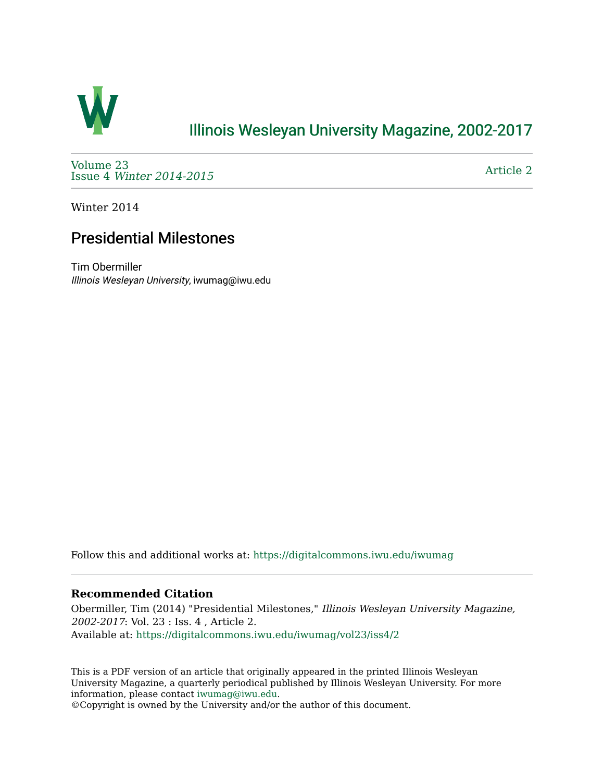

## [Illinois Wesleyan University Magazine, 2002-2017](https://digitalcommons.iwu.edu/iwumag)

[Volume 23](https://digitalcommons.iwu.edu/iwumag/vol23)  Issue 4 [Winter 2014-2015](https://digitalcommons.iwu.edu/iwumag/vol23/iss4)

[Article 2](https://digitalcommons.iwu.edu/iwumag/vol23/iss4/2) 

Winter 2014

## Presidential Milestones

Tim Obermiller Illinois Wesleyan University, iwumag@iwu.edu

Follow this and additional works at: [https://digitalcommons.iwu.edu/iwumag](https://digitalcommons.iwu.edu/iwumag?utm_source=digitalcommons.iwu.edu%2Fiwumag%2Fvol23%2Fiss4%2F2&utm_medium=PDF&utm_campaign=PDFCoverPages) 

## **Recommended Citation**

Obermiller, Tim (2014) "Presidential Milestones," Illinois Wesleyan University Magazine, 2002-2017: Vol. 23 : Iss. 4 , Article 2. Available at: [https://digitalcommons.iwu.edu/iwumag/vol23/iss4/2](https://digitalcommons.iwu.edu/iwumag/vol23/iss4/2?utm_source=digitalcommons.iwu.edu%2Fiwumag%2Fvol23%2Fiss4%2F2&utm_medium=PDF&utm_campaign=PDFCoverPages)

This is a PDF version of an article that originally appeared in the printed Illinois Wesleyan University Magazine, a quarterly periodical published by Illinois Wesleyan University. For more information, please contact [iwumag@iwu.edu](mailto:iwumag@iwu.edu).

©Copyright is owned by the University and/or the author of this document.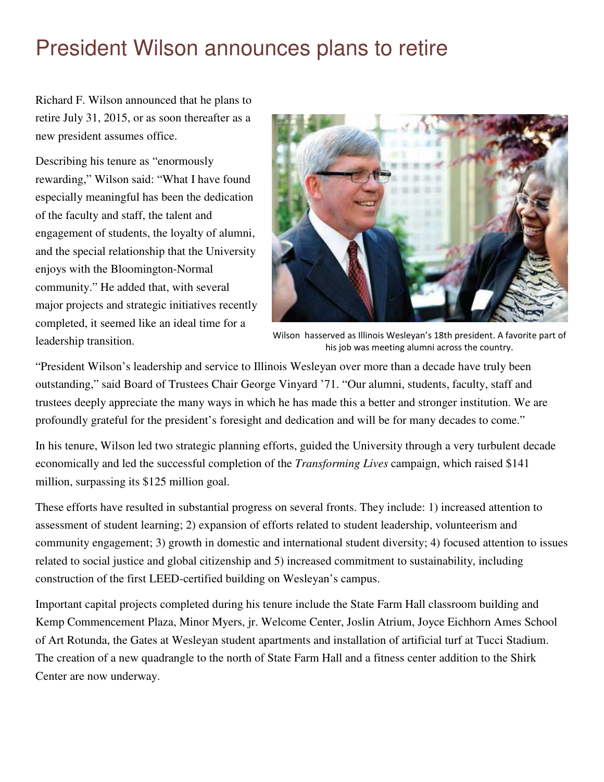## President Wilson announces plans to retire

Richard F. Wilson announced that he plans to retire July 31, 2015, or as soon thereafter as a new president assumes office.

Describing his tenure as "enormously rewarding," Wilson said: "What I have found especially meaningful has been the dedication of the faculty and staff, the talent and engagement of students, the loyalty of alumni, and the special relationship that the University enjoys with the Bloomington-Normal community." He added that, with several major projects and strategic initiatives recently completed, it seemed like an ideal time for a



leadership transition. Wilson hasserved as Illinois Wesleyan's 18th president. A favorite part of his job was meeting alumni across the country.

"President Wilson's leadership and service to Illinois Wesleyan over more than a decade have truly been outstanding," said Board of Trustees Chair George Vinyard '71. "Our alumni, students, faculty, staff and trustees deeply appreciate the many ways in which he has made this a better and stronger institution. We are profoundly grateful for the president's foresight and dedication and will be for many decades to come."

In his tenure, Wilson led two strategic planning efforts, guided the University through a very turbulent decade economically and led the successful completion of the *Transforming Lives* campaign, which raised \$141 million, surpassing its \$125 million goal.

These efforts have resulted in substantial progress on several fronts. They include: 1) increased attention to assessment of student learning; 2) expansion of efforts related to student leadership, volunteerism and community engagement; 3) growth in domestic and international student diversity; 4) focused attention to issues related to social justice and global citizenship and 5) increased commitment to sustainability, including construction of the first LEED-certified building on Wesleyan's campus.

Important capital projects completed during his tenure include the State Farm Hall classroom building and Kemp Commencement Plaza, Minor Myers, jr. Welcome Center, Joslin Atrium, Joyce Eichhorn Ames School of Art Rotunda, the Gates at Wesleyan student apartments and installation of artificial turf at Tucci Stadium. The creation of a new quadrangle to the north of State Farm Hall and a fitness center addition to the Shirk Center are now underway.